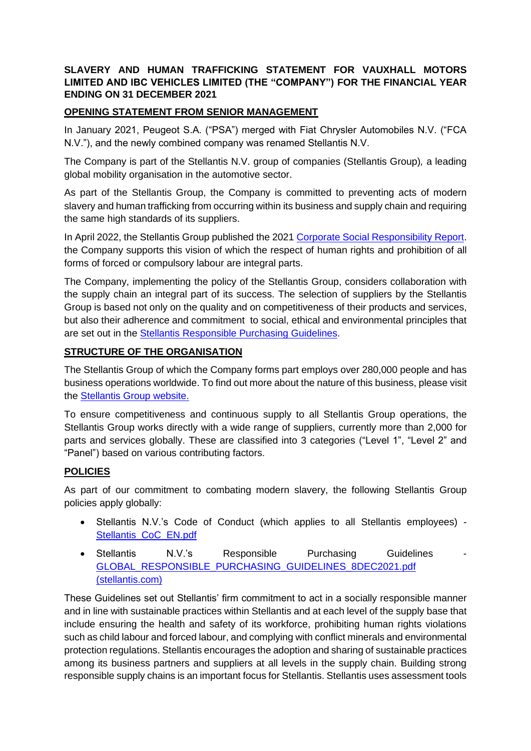### **SLAVERY AND HUMAN TRAFFICKING STATEMENT FOR VAUXHALL MOTORS LIMITED AND IBC VEHICLES LIMITED (THE "COMPANY") FOR THE FINANCIAL YEAR ENDING ON 31 DECEMBER 2021**

### **OPENING STATEMENT FROM SENIOR MANAGEMENT**

In January 2021, Peugeot S.A. ("PSA") merged with Fiat Chrysler Automobiles N.V. ("FCA N.V."), and the newly combined company was renamed Stellantis N.V.

The Company is part of the Stellantis N.V. group of companies (Stellantis Group)*,* a leading global mobility organisation in the automotive sector.

As part of the Stellantis Group, the Company is committed to preventing acts of modern slavery and human trafficking from occurring within its business and supply chain and requiring the same high standards of its suppliers.

In April 2022, the Stellantis Group published the 2021 [Corporate Social Responsibility Report.](https://www.stellantis.com/en/responsibility/csr-disclosures) the Company supports this vision of which the respect of human rights and prohibition of all forms of forced or compulsory labour are integral parts.

The Company, implementing the policy of the Stellantis Group, considers collaboration with the supply chain an integral part of its success. The selection of suppliers by the Stellantis Group is based not only on the quality and on competitiveness of their products and services, but also their adherence and commitment to social, ethical and environmental principles that are set out in the [Stellantis Responsible Purchasing Guidelines.](https://www.stellantis.com/content/dam/stellantiscorporate/group/governance/corporateregulations/GLOBAL_RESPONSIBLE_PURCHASING_GUIDELINES_8DEC2021.pdf)

#### **STRUCTURE OF THE ORGANISATION**

The Stellantis Group of which the Company forms part employs over 280,000 people and has business operations worldwide. To find out more about the nature of this business, please visit the [Stellantis Group website.](https://www.stellantis.com/en)

To ensure competitiveness and continuous supply to all Stellantis Group operations, the Stellantis Group works directly with a wide range of suppliers, currently more than 2,000 for parts and services globally. These are classified into 3 categories ("Level 1", "Level 2" and "Panel") based on various contributing factors.

### **POLICIES**

As part of our commitment to combating modern slavery, the following Stellantis Group policies apply globally:

- Stellantis N.V.'s Code of Conduct (which applies to all Stellantis employees) [Stellantis\\_CoC\\_EN.pdf](https://www.stellantis.com/content/dam/stellantis-corporate/group/governance/code-of-conduct/Stellantis_CoC_EN.pdf)
- Stellantis N.V.'s Responsible Purchasing Guidelines [GLOBAL\\_RESPONSIBLE\\_PURCHASING\\_GUIDELINES\\_8DEC2021.pdf](https://www.stellantis.com/content/dam/stellantis-corporate/group/governance/corporate-regulations/GLOBAL_RESPONSIBLE_PURCHASING_GUIDELINES_8DEC2021.pdf)  [\(stellantis.com\)](https://www.stellantis.com/content/dam/stellantis-corporate/group/governance/corporate-regulations/GLOBAL_RESPONSIBLE_PURCHASING_GUIDELINES_8DEC2021.pdf)

These Guidelines set out Stellantis' firm commitment to act in a socially responsible manner and in line with sustainable practices within Stellantis and at each level of the supply base that include ensuring the health and safety of its workforce, prohibiting human rights violations such as child labour and forced labour, and complying with conflict minerals and environmental protection regulations. Stellantis encourages the adoption and sharing of sustainable practices among its business partners and suppliers at all levels in the supply chain. Building strong responsible supply chains is an important focus for Stellantis. Stellantis uses assessment tools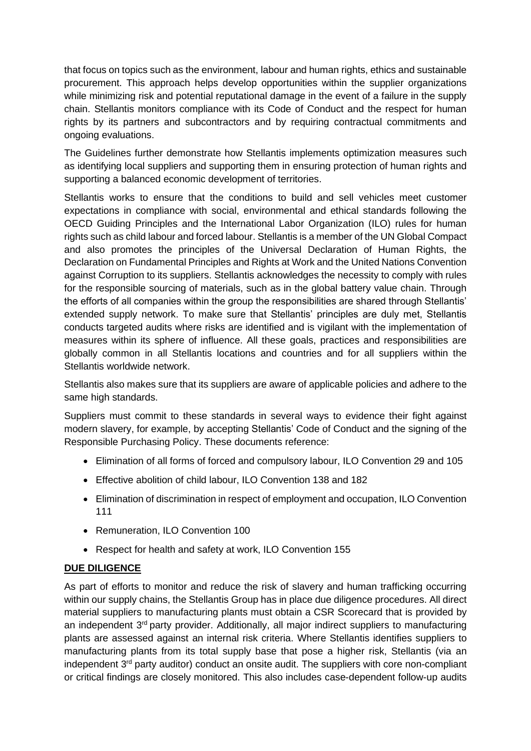that focus on topics such as the environment, labour and human rights, ethics and sustainable procurement. This approach helps develop opportunities within the supplier organizations while minimizing risk and potential reputational damage in the event of a failure in the supply chain. Stellantis monitors compliance with its Code of Conduct and the respect for human rights by its partners and subcontractors and by requiring contractual commitments and ongoing evaluations.

The Guidelines further demonstrate how Stellantis implements optimization measures such as identifying local suppliers and supporting them in ensuring protection of human rights and supporting a balanced economic development of territories.

Stellantis works to ensure that the conditions to build and sell vehicles meet customer expectations in compliance with social, environmental and ethical standards following the OECD Guiding Principles and the International Labor Organization (ILO) rules for human rights such as child labour and forced labour. Stellantis is a member of the UN Global Compact and also promotes the principles of the Universal Declaration of Human Rights, the Declaration on Fundamental Principles and Rights at Work and the United Nations Convention against Corruption to its suppliers. Stellantis acknowledges the necessity to comply with rules for the responsible sourcing of materials, such as in the global battery value chain. Through the efforts of all companies within the group the responsibilities are shared through Stellantis' extended supply network. To make sure that Stellantis' principles are duly met, Stellantis conducts targeted audits where risks are identified and is vigilant with the implementation of measures within its sphere of influence. All these goals, practices and responsibilities are globally common in all Stellantis locations and countries and for all suppliers within the Stellantis worldwide network.

Stellantis also makes sure that its suppliers are aware of applicable policies and adhere to the same high standards.

Suppliers must commit to these standards in several ways to evidence their fight against modern slavery, for example, by accepting Stellantis' Code of Conduct and the signing of the Responsible Purchasing Policy. These documents reference:

- Elimination of all forms of forced and compulsory labour, ILO Convention 29 and 105
- Effective abolition of child labour, ILO Convention 138 and 182
- Elimination of discrimination in respect of employment and occupation, ILO Convention 111
- Remuneration, ILO Convention 100
- Respect for health and safety at work, ILO Convention 155

# **DUE DILIGENCE**

As part of efforts to monitor and reduce the risk of slavery and human trafficking occurring within our supply chains, the Stellantis Group has in place due diligence procedures. All direct material suppliers to manufacturing plants must obtain a CSR Scorecard that is provided by an independent 3<sup>rd</sup> party provider. Additionally, all major indirect suppliers to manufacturing plants are assessed against an internal risk criteria. Where Stellantis identifies suppliers to manufacturing plants from its total supply base that pose a higher risk, Stellantis (via an independent 3<sup>rd</sup> party auditor) conduct an onsite audit. The suppliers with core non-compliant or critical findings are closely monitored. This also includes case-dependent follow-up audits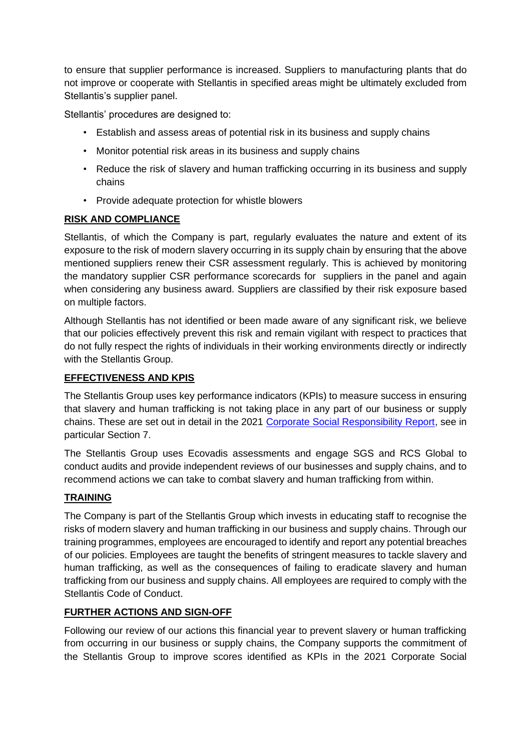to ensure that supplier performance is increased. Suppliers to manufacturing plants that do not improve or cooperate with Stellantis in specified areas might be ultimately excluded from Stellantis's supplier panel.

Stellantis' procedures are designed to:

- Establish and assess areas of potential risk in its business and supply chains
- Monitor potential risk areas in its business and supply chains
- Reduce the risk of slavery and human trafficking occurring in its business and supply chains
- Provide adequate protection for whistle blowers

# **RISK AND COMPLIANCE**

Stellantis, of which the Company is part, regularly evaluates the nature and extent of its exposure to the risk of modern slavery occurring in its supply chain by ensuring that the above mentioned suppliers renew their CSR assessment regularly. This is achieved by monitoring the mandatory supplier CSR performance scorecards for suppliers in the panel and again when considering any business award. Suppliers are classified by their risk exposure based on multiple factors.

Although Stellantis has not identified or been made aware of any significant risk, we believe that our policies effectively prevent this risk and remain vigilant with respect to practices that do not fully respect the rights of individuals in their working environments directly or indirectly with the Stellantis Group.

## **EFFECTIVENESS AND KPIS**

The Stellantis Group uses key performance indicators (KPIs) to measure success in ensuring that slavery and human trafficking is not taking place in any part of our business or supply chains. These are set out in detail in the 2021 [Corporate Social Responsibility Report,](https://www.stellantis.com/en/responsibility/csr-disclosures) see in particular Section 7.

The Stellantis Group uses Ecovadis assessments and engage SGS and RCS Global to conduct audits and provide independent reviews of our businesses and supply chains, and to recommend actions we can take to combat slavery and human trafficking from within.

### **TRAINING**

The Company is part of the Stellantis Group which invests in educating staff to recognise the risks of modern slavery and human trafficking in our business and supply chains. Through our training programmes, employees are encouraged to identify and report any potential breaches of our policies. Employees are taught the benefits of stringent measures to tackle slavery and human trafficking, as well as the consequences of failing to eradicate slavery and human trafficking from our business and supply chains. All employees are required to comply with the Stellantis Code of Conduct.

### **FURTHER ACTIONS AND SIGN-OFF**

Following our review of our actions this financial year to prevent slavery or human trafficking from occurring in our business or supply chains, the Company supports the commitment of the Stellantis Group to improve scores identified as KPIs in the 2021 [Corporate Social](https://www.stellantis.com/en/responsibility/csr-disclosures)